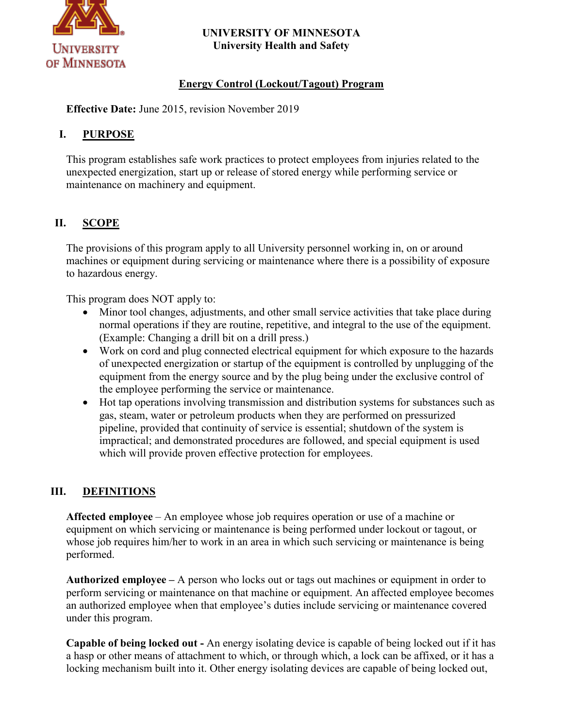

### **UNIVERSITY OF MINNESOTA University Health and Safety**

### **Energy Control (Lockout/Tagout) Program**

**Effective Date:** June 2015, revision November 2019

### **I. PURPOSE**

This program establishes safe work practices to protect employees from injuries related to the unexpected energization, start up or release of stored energy while performing service or maintenance on machinery and equipment.

### **II. SCOPE**

The provisions of this program apply to all University personnel working in, on or around machines or equipment during servicing or maintenance where there is a possibility of exposure to hazardous energy.

This program does NOT apply to:

- Minor tool changes, adjustments, and other small service activities that take place during normal operations if they are routine, repetitive, and integral to the use of the equipment. (Example: Changing a drill bit on a drill press.)
- Work on cord and plug connected electrical equipment for which exposure to the hazards of unexpected energization or startup of the equipment is controlled by unplugging of the equipment from the energy source and by the plug being under the exclusive control of the employee performing the service or maintenance.
- Hot tap operations involving transmission and distribution systems for substances such as gas, steam, water or petroleum products when they are performed on pressurized pipeline, provided that continuity of service is essential; shutdown of the system is impractical; and demonstrated procedures are followed, and special equipment is used which will provide proven effective protection for employees.

### **III. DEFINITIONS**

**Affected employee** – An employee whose job requires operation or use of a machine or equipment on which servicing or maintenance is being performed under lockout or tagout, or whose job requires him/her to work in an area in which such servicing or maintenance is being performed.

**Authorized employee –** A person who locks out or tags out machines or equipment in order to perform servicing or maintenance on that machine or equipment. An affected employee becomes an authorized employee when that employee's duties include servicing or maintenance covered under this program.

**Capable of being locked out -** An energy isolating device is capable of being locked out if it has a hasp or other means of attachment to which, or through which, a lock can be affixed, or it has a locking mechanism built into it. Other energy isolating devices are capable of being locked out,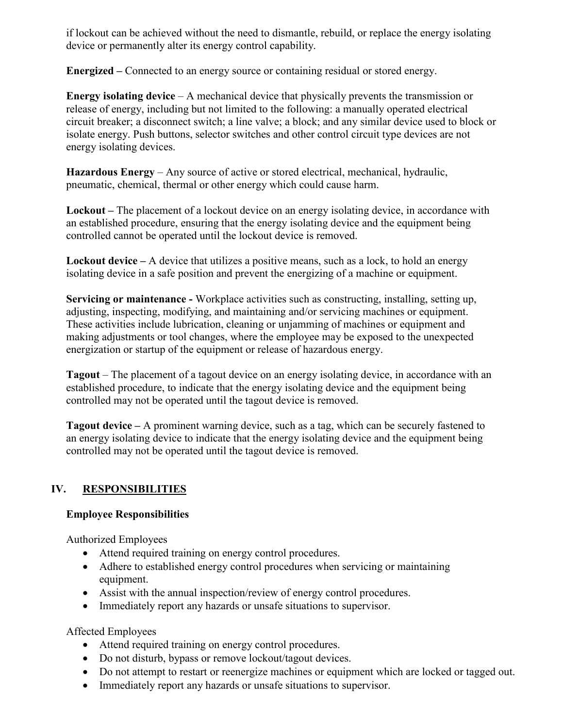if lockout can be achieved without the need to dismantle, rebuild, or replace the energy isolating device or permanently alter its energy control capability.

**Energized –** Connected to an energy source or containing residual or stored energy.

**Energy isolating device** – A mechanical device that physically prevents the transmission or release of energy, including but not limited to the following: a manually operated electrical circuit breaker; a disconnect switch; a line valve; a block; and any similar device used to block or isolate energy. Push buttons, selector switches and other control circuit type devices are not energy isolating devices.

**Hazardous Energy** – Any source of active or stored electrical, mechanical, hydraulic, pneumatic, chemical, thermal or other energy which could cause harm.

**Lockout –** The placement of a lockout device on an energy isolating device, in accordance with an established procedure, ensuring that the energy isolating device and the equipment being controlled cannot be operated until the lockout device is removed.

**Lockout device –** A device that utilizes a positive means, such as a lock, to hold an energy isolating device in a safe position and prevent the energizing of a machine or equipment.

**Servicing or maintenance -** Workplace activities such as constructing, installing, setting up, adjusting, inspecting, modifying, and maintaining and/or servicing machines or equipment. These activities include lubrication, cleaning or unjamming of machines or equipment and making adjustments or tool changes, where the employee may be exposed to the unexpected energization or startup of the equipment or release of hazardous energy.

**Tagout** – The placement of a tagout device on an energy isolating device, in accordance with an established procedure, to indicate that the energy isolating device and the equipment being controlled may not be operated until the tagout device is removed.

**Tagout device –** A prominent warning device, such as a tag, which can be securely fastened to an energy isolating device to indicate that the energy isolating device and the equipment being controlled may not be operated until the tagout device is removed.

## **IV. RESPONSIBILITIES**

### **Employee Responsibilities**

Authorized Employees

- Attend required training on energy control procedures.
- Adhere to established energy control procedures when servicing or maintaining equipment.
- Assist with the annual inspection/review of energy control procedures.
- Immediately report any hazards or unsafe situations to supervisor.

Affected Employees

- Attend required training on energy control procedures.
- Do not disturb, bypass or remove lockout/tagout devices.
- Do not attempt to restart or reenergize machines or equipment which are locked or tagged out.
- Immediately report any hazards or unsafe situations to supervisor.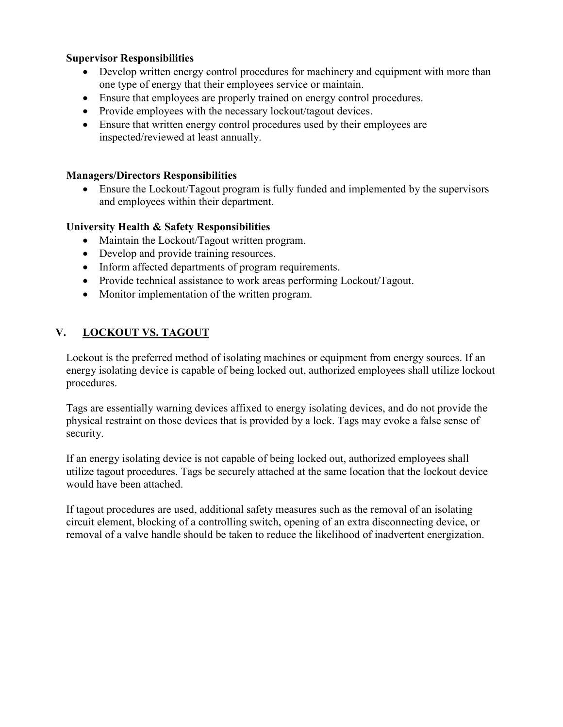### **Supervisor Responsibilities**

- Develop written energy control procedures for machinery and equipment with more than one type of energy that their employees service or maintain.
- Ensure that employees are properly trained on energy control procedures.
- Provide employees with the necessary lockout/tagout devices.
- Ensure that written energy control procedures used by their employees are inspected/reviewed at least annually.

#### **Managers/Directors Responsibilities**

• Ensure the Lockout/Tagout program is fully funded and implemented by the supervisors and employees within their department.

### **University Health & Safety Responsibilities**

- Maintain the Lockout/Tagout written program.
- Develop and provide training resources.
- Inform affected departments of program requirements.
- Provide technical assistance to work areas performing Lockout/Tagout.
- Monitor implementation of the written program.

# **V. LOCKOUT VS. TAGOUT**

Lockout is the preferred method of isolating machines or equipment from energy sources. If an energy isolating device is capable of being locked out, authorized employees shall utilize lockout procedures.

Tags are essentially warning devices affixed to energy isolating devices, and do not provide the physical restraint on those devices that is provided by a lock. Tags may evoke a false sense of security.

If an energy isolating device is not capable of being locked out, authorized employees shall utilize tagout procedures. Tags be securely attached at the same location that the lockout device would have been attached.

If tagout procedures are used, additional safety measures such as the removal of an isolating circuit element, blocking of a controlling switch, opening of an extra disconnecting device, or removal of a valve handle should be taken to reduce the likelihood of inadvertent energization.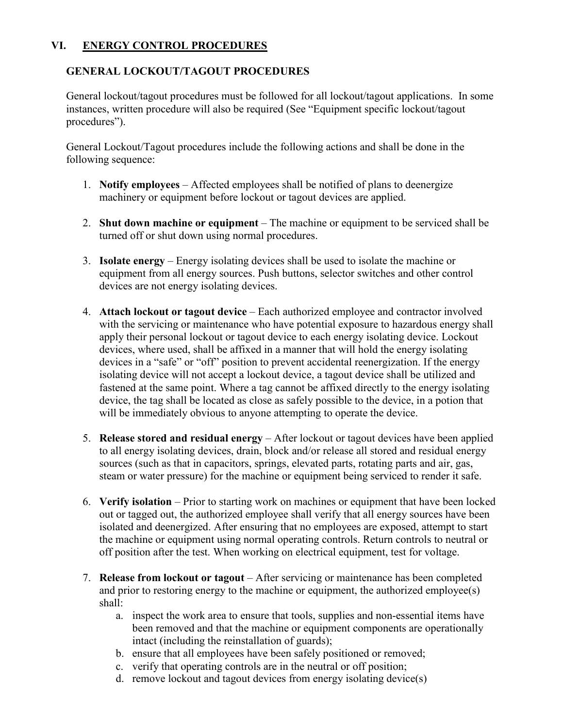### **VI. ENERGY CONTROL PROCEDURES**

### **GENERAL LOCKOUT/TAGOUT PROCEDURES**

General lockout/tagout procedures must be followed for all lockout/tagout applications. In some instances, written procedure will also be required (See "Equipment specific lockout/tagout procedures").

General Lockout/Tagout procedures include the following actions and shall be done in the following sequence:

- 1. **Notify employees** Affected employees shall be notified of plans to deenergize machinery or equipment before lockout or tagout devices are applied.
- 2. **Shut down machine or equipment** The machine or equipment to be serviced shall be turned off or shut down using normal procedures.
- 3. **Isolate energy** Energy isolating devices shall be used to isolate the machine or equipment from all energy sources. Push buttons, selector switches and other control devices are not energy isolating devices.
- 4. **Attach lockout or tagout device** Each authorized employee and contractor involved with the servicing or maintenance who have potential exposure to hazardous energy shall apply their personal lockout or tagout device to each energy isolating device. Lockout devices, where used, shall be affixed in a manner that will hold the energy isolating devices in a "safe" or "off" position to prevent accidental reenergization. If the energy isolating device will not accept a lockout device, a tagout device shall be utilized and fastened at the same point. Where a tag cannot be affixed directly to the energy isolating device, the tag shall be located as close as safely possible to the device, in a potion that will be immediately obvious to anyone attempting to operate the device.
- 5. **Release stored and residual energy** After lockout or tagout devices have been applied to all energy isolating devices, drain, block and/or release all stored and residual energy sources (such as that in capacitors, springs, elevated parts, rotating parts and air, gas, steam or water pressure) for the machine or equipment being serviced to render it safe.
- 6. **Verify isolation** Prior to starting work on machines or equipment that have been locked out or tagged out, the authorized employee shall verify that all energy sources have been isolated and deenergized. After ensuring that no employees are exposed, attempt to start the machine or equipment using normal operating controls. Return controls to neutral or off position after the test. When working on electrical equipment, test for voltage.
- 7. **Release from lockout or tagout** After servicing or maintenance has been completed and prior to restoring energy to the machine or equipment, the authorized employee(s) shall:
	- a. inspect the work area to ensure that tools, supplies and non-essential items have been removed and that the machine or equipment components are operationally intact (including the reinstallation of guards);
	- b. ensure that all employees have been safely positioned or removed;
	- c. verify that operating controls are in the neutral or off position;
	- d. remove lockout and tagout devices from energy isolating device(s)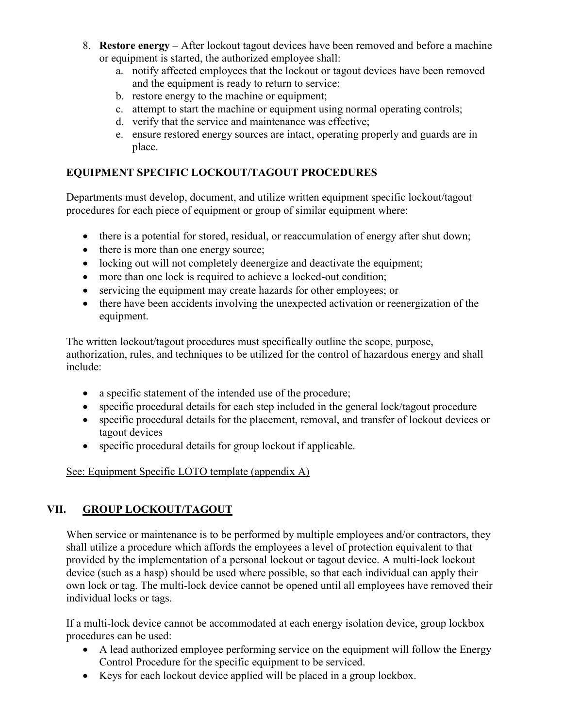- 8. **Restore energy** After lockout tagout devices have been removed and before a machine or equipment is started, the authorized employee shall:
	- a. notify affected employees that the lockout or tagout devices have been removed and the equipment is ready to return to service;
	- b. restore energy to the machine or equipment;
	- c. attempt to start the machine or equipment using normal operating controls;
	- d. verify that the service and maintenance was effective;
	- e. ensure restored energy sources are intact, operating properly and guards are in place.

# **EQUIPMENT SPECIFIC LOCKOUT/TAGOUT PROCEDURES**

Departments must develop, document, and utilize written equipment specific lockout/tagout procedures for each piece of equipment or group of similar equipment where:

- there is a potential for stored, residual, or reaccumulation of energy after shut down;
- there is more than one energy source;
- locking out will not completely deenergize and deactivate the equipment;
- more than one lock is required to achieve a locked-out condition;
- servicing the equipment may create hazards for other employees; or
- there have been accidents involving the unexpected activation or reenergization of the equipment.

The written lockout/tagout procedures must specifically outline the scope, purpose, authorization, rules, and techniques to be utilized for the control of hazardous energy and shall include:

- a specific statement of the intended use of the procedure;
- specific procedural details for each step included in the general lock/tagout procedure
- specific procedural details for the placement, removal, and transfer of lockout devices or tagout devices
- specific procedural details for group lockout if applicable.

See: Equipment Specific LOTO template (appendix A)

# **VII. GROUP LOCKOUT/TAGOUT**

When service or maintenance is to be performed by multiple employees and/or contractors, they shall utilize a procedure which affords the employees a level of protection equivalent to that provided by the implementation of a personal lockout or tagout device. A multi-lock lockout device (such as a hasp) should be used where possible, so that each individual can apply their own lock or tag. The multi-lock device cannot be opened until all employees have removed their individual locks or tags.

If a multi-lock device cannot be accommodated at each energy isolation device, group lockbox procedures can be used:

- A lead authorized employee performing service on the equipment will follow the Energy Control Procedure for the specific equipment to be serviced.
- Keys for each lockout device applied will be placed in a group lockbox.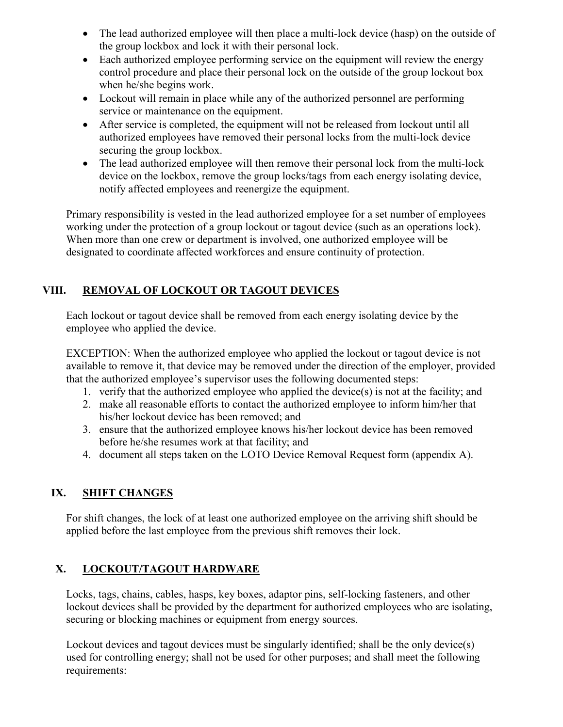- The lead authorized employee will then place a multi-lock device (hasp) on the outside of the group lockbox and lock it with their personal lock.
- Each authorized employee performing service on the equipment will review the energy control procedure and place their personal lock on the outside of the group lockout box when he/she begins work.
- Lockout will remain in place while any of the authorized personnel are performing service or maintenance on the equipment.
- After service is completed, the equipment will not be released from lockout until all authorized employees have removed their personal locks from the multi-lock device securing the group lockbox.
- The lead authorized employee will then remove their personal lock from the multi-lock device on the lockbox, remove the group locks/tags from each energy isolating device, notify affected employees and reenergize the equipment.

Primary responsibility is vested in the lead authorized employee for a set number of employees working under the protection of a group lockout or tagout device (such as an operations lock). When more than one crew or department is involved, one authorized employee will be designated to coordinate affected workforces and ensure continuity of protection.

# **VIII. REMOVAL OF LOCKOUT OR TAGOUT DEVICES**

Each lockout or tagout device shall be removed from each energy isolating device by the employee who applied the device.

EXCEPTION: When the authorized employee who applied the lockout or tagout device is not available to remove it, that device may be removed under the direction of the employer, provided that the authorized employee's supervisor uses the following documented steps:

- 1. verify that the authorized employee who applied the device(s) is not at the facility; and
- 2. make all reasonable efforts to contact the authorized employee to inform him/her that his/her lockout device has been removed; and
- 3. ensure that the authorized employee knows his/her lockout device has been removed before he/she resumes work at that facility; and
- 4. document all steps taken on the LOTO Device Removal Request form (appendix A).

# **IX. SHIFT CHANGES**

For shift changes, the lock of at least one authorized employee on the arriving shift should be applied before the last employee from the previous shift removes their lock.

# **X. LOCKOUT/TAGOUT HARDWARE**

Locks, tags, chains, cables, hasps, key boxes, adaptor pins, self-locking fasteners, and other lockout devices shall be provided by the department for authorized employees who are isolating, securing or blocking machines or equipment from energy sources.

Lockout devices and tagout devices must be singularly identified; shall be the only device(s) used for controlling energy; shall not be used for other purposes; and shall meet the following requirements: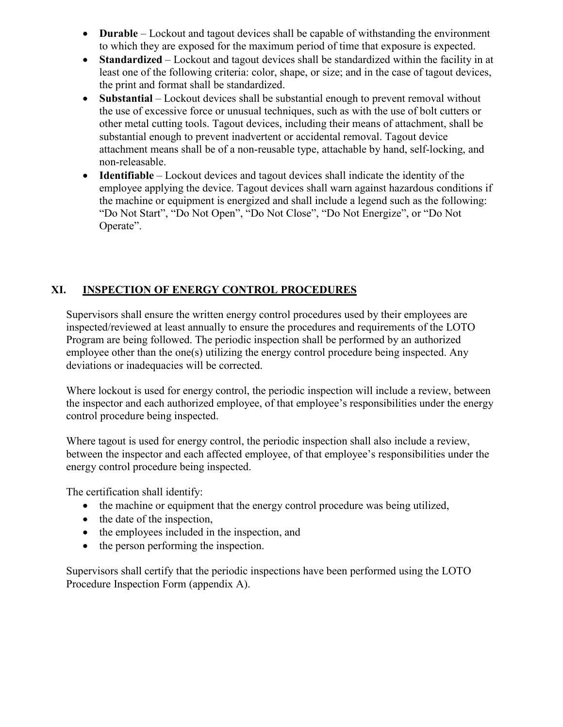- **Durable** Lockout and tagout devices shall be capable of withstanding the environment to which they are exposed for the maximum period of time that exposure is expected.
- **Standardized** Lockout and tagout devices shall be standardized within the facility in at least one of the following criteria: color, shape, or size; and in the case of tagout devices, the print and format shall be standardized.
- **Substantial** Lockout devices shall be substantial enough to prevent removal without the use of excessive force or unusual techniques, such as with the use of bolt cutters or other metal cutting tools. Tagout devices, including their means of attachment, shall be substantial enough to prevent inadvertent or accidental removal. Tagout device attachment means shall be of a non-reusable type, attachable by hand, self-locking, and non-releasable.
- **Identifiable** Lockout devices and tagout devices shall indicate the identity of the employee applying the device. Tagout devices shall warn against hazardous conditions if the machine or equipment is energized and shall include a legend such as the following: "Do Not Start", "Do Not Open", "Do Not Close", "Do Not Energize", or "Do Not Operate".

# **XI. INSPECTION OF ENERGY CONTROL PROCEDURES**

Supervisors shall ensure the written energy control procedures used by their employees are inspected/reviewed at least annually to ensure the procedures and requirements of the LOTO Program are being followed. The periodic inspection shall be performed by an authorized employee other than the one(s) utilizing the energy control procedure being inspected. Any deviations or inadequacies will be corrected.

Where lockout is used for energy control, the periodic inspection will include a review, between the inspector and each authorized employee, of that employee's responsibilities under the energy control procedure being inspected.

Where tagout is used for energy control, the periodic inspection shall also include a review, between the inspector and each affected employee, of that employee's responsibilities under the energy control procedure being inspected.

The certification shall identify:

- the machine or equipment that the energy control procedure was being utilized,
- the date of the inspection,
- the employees included in the inspection, and
- the person performing the inspection.

Supervisors shall certify that the periodic inspections have been performed using the LOTO Procedure Inspection Form (appendix A).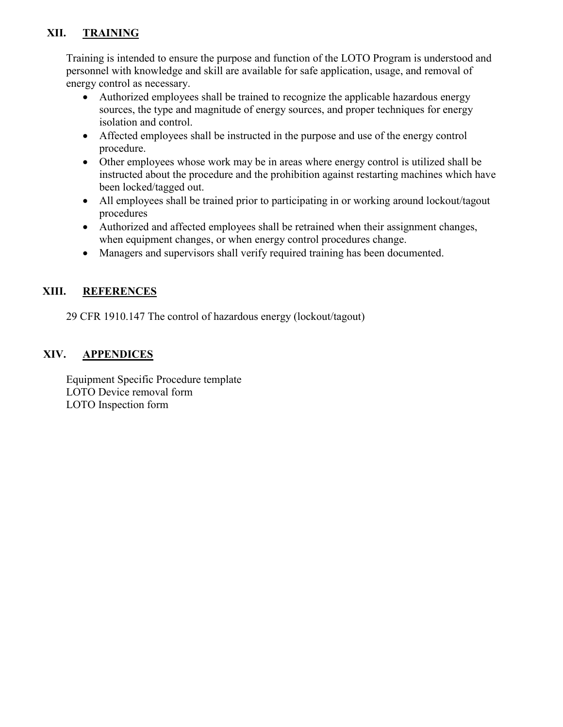# **XII. TRAINING**

Training is intended to ensure the purpose and function of the LOTO Program is understood and personnel with knowledge and skill are available for safe application, usage, and removal of energy control as necessary.

- Authorized employees shall be trained to recognize the applicable hazardous energy sources, the type and magnitude of energy sources, and proper techniques for energy isolation and control.
- Affected employees shall be instructed in the purpose and use of the energy control procedure.
- Other employees whose work may be in areas where energy control is utilized shall be instructed about the procedure and the prohibition against restarting machines which have been locked/tagged out.
- All employees shall be trained prior to participating in or working around lockout/tagout procedures
- Authorized and affected employees shall be retrained when their assignment changes, when equipment changes, or when energy control procedures change.
- Managers and supervisors shall verify required training has been documented.

## **XIII. REFERENCES**

29 CFR 1910.147 The control of hazardous energy (lockout/tagout)

### **XIV. APPENDICES**

Equipment Specific Procedure template LOTO Device removal form LOTO Inspection form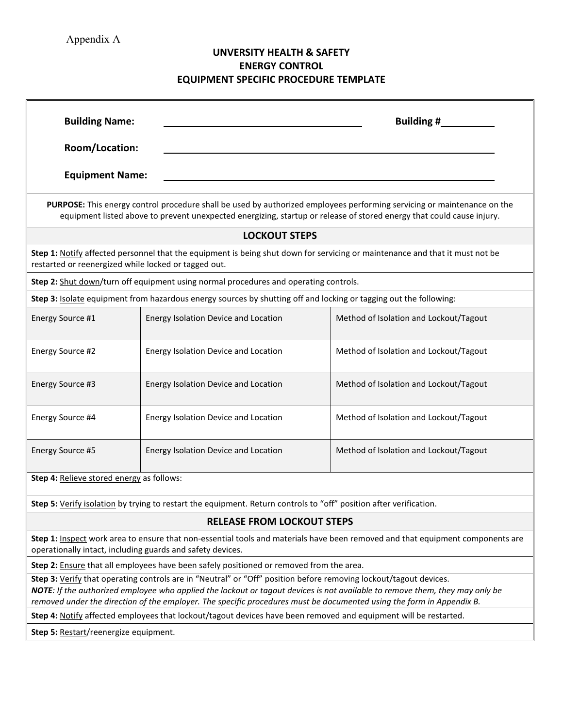Appendix A

## **UNVERSITY HEALTH & SAFETY ENERGY CONTROL EQUIPMENT SPECIFIC PROCEDURE TEMPLATE**

| <b>Building Name:</b>                                                                                                                                                                                                                                                                                                                                                      |                                                                                                                    | Building #                                                                                                                                                                                                                                       |  |  |
|----------------------------------------------------------------------------------------------------------------------------------------------------------------------------------------------------------------------------------------------------------------------------------------------------------------------------------------------------------------------------|--------------------------------------------------------------------------------------------------------------------|--------------------------------------------------------------------------------------------------------------------------------------------------------------------------------------------------------------------------------------------------|--|--|
| Room/Location:                                                                                                                                                                                                                                                                                                                                                             |                                                                                                                    |                                                                                                                                                                                                                                                  |  |  |
| <b>Equipment Name:</b>                                                                                                                                                                                                                                                                                                                                                     |                                                                                                                    |                                                                                                                                                                                                                                                  |  |  |
|                                                                                                                                                                                                                                                                                                                                                                            |                                                                                                                    | PURPOSE: This energy control procedure shall be used by authorized employees performing servicing or maintenance on the<br>equipment listed above to prevent unexpected energizing, startup or release of stored energy that could cause injury. |  |  |
|                                                                                                                                                                                                                                                                                                                                                                            | <b>LOCKOUT STEPS</b>                                                                                               |                                                                                                                                                                                                                                                  |  |  |
| Step 1: Notify affected personnel that the equipment is being shut down for servicing or maintenance and that it must not be<br>restarted or reenergized while locked or tagged out.                                                                                                                                                                                       |                                                                                                                    |                                                                                                                                                                                                                                                  |  |  |
| Step 2: Shut down/turn off equipment using normal procedures and operating controls.                                                                                                                                                                                                                                                                                       |                                                                                                                    |                                                                                                                                                                                                                                                  |  |  |
| Step 3: <b>Isolate</b> equipment from hazardous energy sources by shutting off and locking or tagging out the following:                                                                                                                                                                                                                                                   |                                                                                                                    |                                                                                                                                                                                                                                                  |  |  |
| Energy Source #1                                                                                                                                                                                                                                                                                                                                                           | Energy Isolation Device and Location                                                                               | Method of Isolation and Lockout/Tagout                                                                                                                                                                                                           |  |  |
| Energy Source #2                                                                                                                                                                                                                                                                                                                                                           | Energy Isolation Device and Location                                                                               | Method of Isolation and Lockout/Tagout                                                                                                                                                                                                           |  |  |
| Energy Source #3                                                                                                                                                                                                                                                                                                                                                           | Energy Isolation Device and Location                                                                               | Method of Isolation and Lockout/Tagout                                                                                                                                                                                                           |  |  |
| Energy Source #4                                                                                                                                                                                                                                                                                                                                                           | Energy Isolation Device and Location                                                                               | Method of Isolation and Lockout/Tagout                                                                                                                                                                                                           |  |  |
| Energy Source #5                                                                                                                                                                                                                                                                                                                                                           | Energy Isolation Device and Location                                                                               | Method of Isolation and Lockout/Tagout                                                                                                                                                                                                           |  |  |
| Step 4: Relieve stored energy as follows:                                                                                                                                                                                                                                                                                                                                  |                                                                                                                    |                                                                                                                                                                                                                                                  |  |  |
|                                                                                                                                                                                                                                                                                                                                                                            | Step 5: Verify isolation by trying to restart the equipment. Return controls to "off" position after verification. |                                                                                                                                                                                                                                                  |  |  |
|                                                                                                                                                                                                                                                                                                                                                                            | <b>RELEASE FROM LOCKOUT STEPS</b>                                                                                  |                                                                                                                                                                                                                                                  |  |  |
| Step 1: Inspect work area to ensure that non-essential tools and materials have been removed and that equipment components are<br>operationally intact, including guards and safety devices.                                                                                                                                                                               |                                                                                                                    |                                                                                                                                                                                                                                                  |  |  |
| Step 2: Ensure that all employees have been safely positioned or removed from the area.                                                                                                                                                                                                                                                                                    |                                                                                                                    |                                                                                                                                                                                                                                                  |  |  |
| Step 3: Verify that operating controls are in "Neutral" or "Off" position before removing lockout/tagout devices.<br>NOTE: If the authorized employee who applied the lockout or tagout devices is not available to remove them, they may only be<br>removed under the direction of the employer. The specific procedures must be documented using the form in Appendix B. |                                                                                                                    |                                                                                                                                                                                                                                                  |  |  |
| Step 4: Notify affected employees that lockout/tagout devices have been removed and equipment will be restarted.                                                                                                                                                                                                                                                           |                                                                                                                    |                                                                                                                                                                                                                                                  |  |  |
| Step 5: Restart/reenergize equipment.                                                                                                                                                                                                                                                                                                                                      |                                                                                                                    |                                                                                                                                                                                                                                                  |  |  |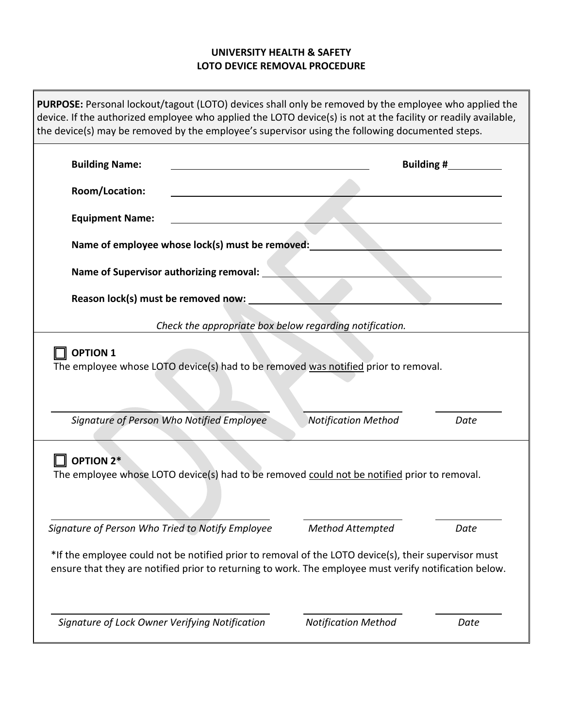### **UNIVERSITY HEALTH & SAFETY LOTO DEVICE REMOVAL PROCEDURE**

|                                                                                                       | PURPOSE: Personal lockout/tagout (LOTO) devices shall only be removed by the employee who applied the<br>device. If the authorized employee who applied the LOTO device(s) is not at the facility or readily available,<br>the device(s) may be removed by the employee's supervisor using the following documented steps. |
|-------------------------------------------------------------------------------------------------------|----------------------------------------------------------------------------------------------------------------------------------------------------------------------------------------------------------------------------------------------------------------------------------------------------------------------------|
| <b>Building Name:</b>                                                                                 | Building #_________                                                                                                                                                                                                                                                                                                        |
| Room/Location:                                                                                        |                                                                                                                                                                                                                                                                                                                            |
| <b>Equipment Name:</b><br><u> 1989 - Johann Barnett, fransk kongresu</u>                              |                                                                                                                                                                                                                                                                                                                            |
| Name of employee whose lock(s) must be removed:                                                       |                                                                                                                                                                                                                                                                                                                            |
| Name of Supervisor authorizing removal:                                                               |                                                                                                                                                                                                                                                                                                                            |
| Reason lock(s) must be removed now:                                                                   |                                                                                                                                                                                                                                                                                                                            |
|                                                                                                       | Check the appropriate box below regarding notification.                                                                                                                                                                                                                                                                    |
| <b>OPTION 1</b><br>The employee whose LOTO device(s) had to be removed was notified prior to removal. |                                                                                                                                                                                                                                                                                                                            |
| Signature of Person Who Notified Employee                                                             | Notification Method<br>Date                                                                                                                                                                                                                                                                                                |
| <b>OPTION 2*</b>                                                                                      | The employee whose LOTO device(s) had to be removed could not be notified prior to removal.                                                                                                                                                                                                                                |
| Signature of Person Who Tried to Notify Employee                                                      | <b>Method Attempted</b><br>Date                                                                                                                                                                                                                                                                                            |
|                                                                                                       | *If the employee could not be notified prior to removal of the LOTO device(s), their supervisor must<br>ensure that they are notified prior to returning to work. The employee must verify notification below.                                                                                                             |
| Signature of Lock Owner Verifying Notification                                                        | <b>Notification Method</b><br>Date                                                                                                                                                                                                                                                                                         |